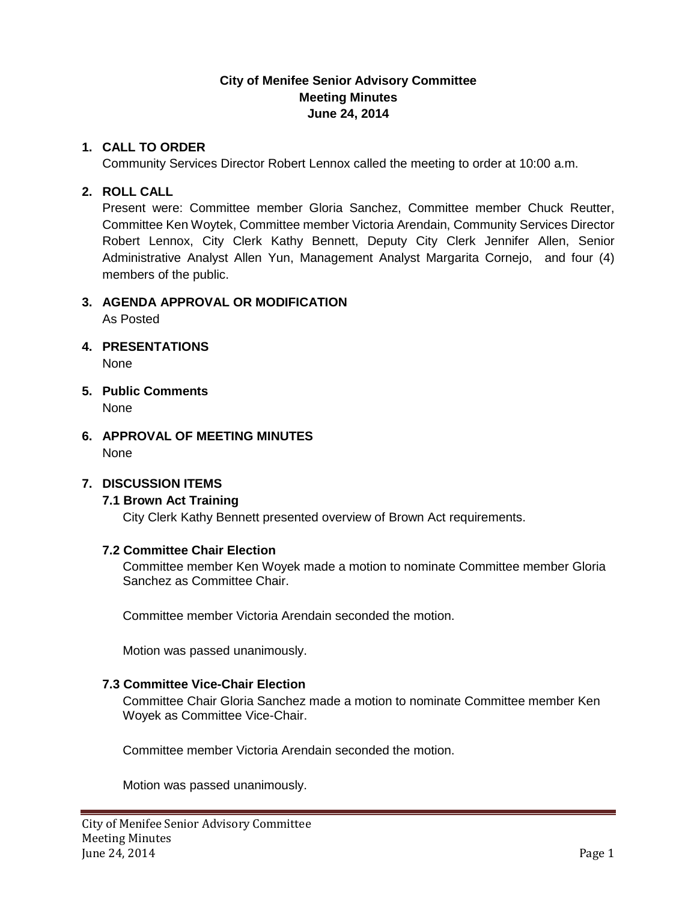## **City of Menifee Senior Advisory Committee Meeting Minutes June 24, 2014**

## **1. CALL TO ORDER**

Community Services Director Robert Lennox called the meeting to order at 10:00 a.m.

## **2. ROLL CALL**

Present were: Committee member Gloria Sanchez, Committee member Chuck Reutter, Committee Ken Woytek, Committee member Victoria Arendain, Community Services Director Robert Lennox, City Clerk Kathy Bennett, Deputy City Clerk Jennifer Allen, Senior Administrative Analyst Allen Yun, Management Analyst Margarita Cornejo, and four (4) members of the public.

## **3. AGENDA APPROVAL OR MODIFICATION**

As Posted

**4. PRESENTATIONS**

None

- **5. Public Comments** None
- **6. APPROVAL OF MEETING MINUTES** None

# **7. DISCUSSION ITEMS**

#### **7.1 Brown Act Training**

City Clerk Kathy Bennett presented overview of Brown Act requirements.

#### **7.2 Committee Chair Election**

Committee member Ken Woyek made a motion to nominate Committee member Gloria Sanchez as Committee Chair.

Committee member Victoria Arendain seconded the motion.

Motion was passed unanimously.

## **7.3 Committee Vice-Chair Election**

Committee Chair Gloria Sanchez made a motion to nominate Committee member Ken Woyek as Committee Vice-Chair.

Committee member Victoria Arendain seconded the motion.

Motion was passed unanimously.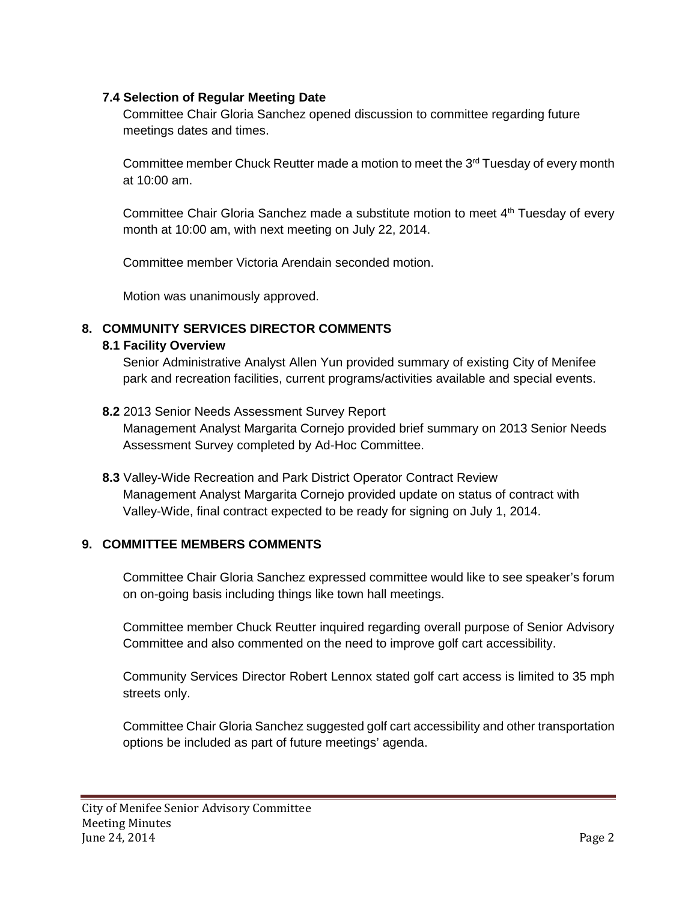# **7.4 Selection of Regular Meeting Date**

Committee Chair Gloria Sanchez opened discussion to committee regarding future meetings dates and times.

Committee member Chuck Reutter made a motion to meet the  $3<sup>rd</sup>$  Tuesday of every month at 10:00 am.

Committee Chair Gloria Sanchez made a substitute motion to meet  $4<sup>th</sup>$  Tuesday of every month at 10:00 am, with next meeting on July 22, 2014.

Committee member Victoria Arendain seconded motion.

Motion was unanimously approved.

# **8. COMMUNITY SERVICES DIRECTOR COMMENTS**

## **8.1 Facility Overview**

Senior Administrative Analyst Allen Yun provided summary of existing City of Menifee park and recreation facilities, current programs/activities available and special events.

**8.2** 2013 Senior Needs Assessment Survey Report

Management Analyst Margarita Cornejo provided brief summary on 2013 Senior Needs Assessment Survey completed by Ad-Hoc Committee.

**8.3** Valley-Wide Recreation and Park District Operator Contract Review Management Analyst Margarita Cornejo provided update on status of contract with Valley-Wide, final contract expected to be ready for signing on July 1, 2014.

# **9. COMMITTEE MEMBERS COMMENTS**

Committee Chair Gloria Sanchez expressed committee would like to see speaker's forum on on-going basis including things like town hall meetings.

Committee member Chuck Reutter inquired regarding overall purpose of Senior Advisory Committee and also commented on the need to improve golf cart accessibility.

Community Services Director Robert Lennox stated golf cart access is limited to 35 mph streets only.

Committee Chair Gloria Sanchez suggested golf cart accessibility and other transportation options be included as part of future meetings' agenda.